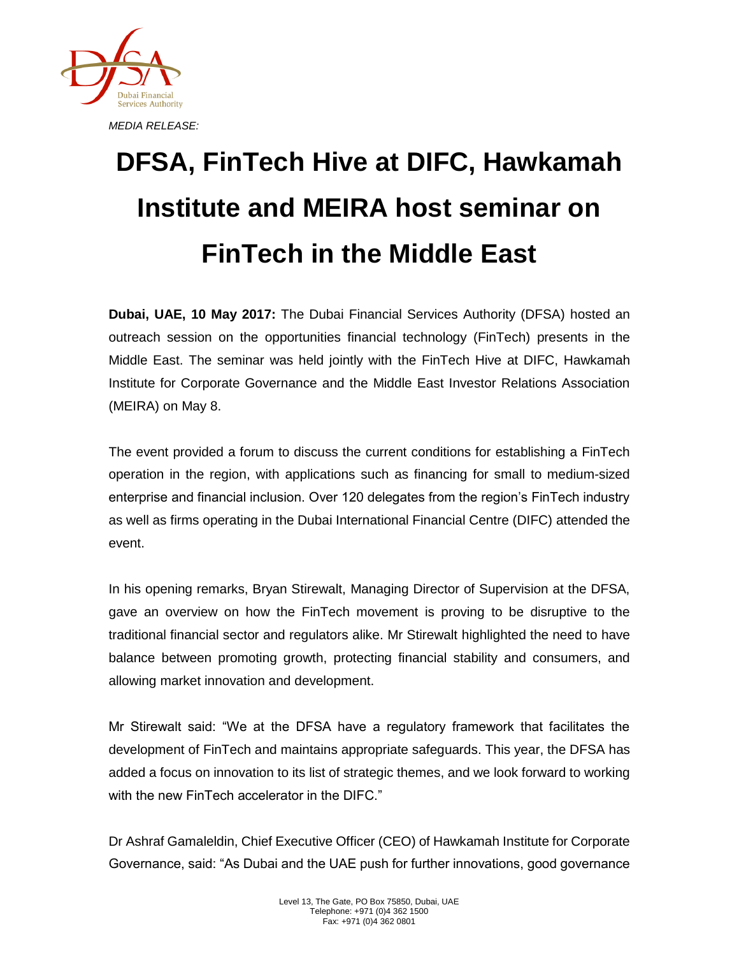

## **DFSA, FinTech Hive at DIFC, Hawkamah Institute and MEIRA host seminar on FinTech in the Middle East**

**Dubai, UAE, 10 May 2017:** The Dubai Financial Services Authority (DFSA) hosted an outreach session on the opportunities financial technology (FinTech) presents in the Middle East. The seminar was held jointly with the FinTech Hive at DIFC, Hawkamah Institute for Corporate Governance and the Middle East Investor Relations Association (MEIRA) on May 8.

The event provided a forum to discuss the current conditions for establishing a FinTech operation in the region, with applications such as financing for small to medium-sized enterprise and financial inclusion. Over 120 delegates from the region's FinTech industry as well as firms operating in the Dubai International Financial Centre (DIFC) attended the event.

In his opening remarks, Bryan Stirewalt, Managing Director of Supervision at the DFSA, gave an overview on how the FinTech movement is proving to be disruptive to the traditional financial sector and regulators alike. Mr Stirewalt highlighted the need to have balance between promoting growth, protecting financial stability and consumers, and allowing market innovation and development.

Mr Stirewalt said: "We at the DFSA have a regulatory framework that facilitates the development of FinTech and maintains appropriate safeguards. This year, the DFSA has added a focus on innovation to its list of strategic themes, and we look forward to working with the new FinTech accelerator in the DIFC."

Dr Ashraf Gamaleldin, Chief Executive Officer (CEO) of Hawkamah Institute for Corporate Governance, said: "As Dubai and the UAE push for further innovations, good governance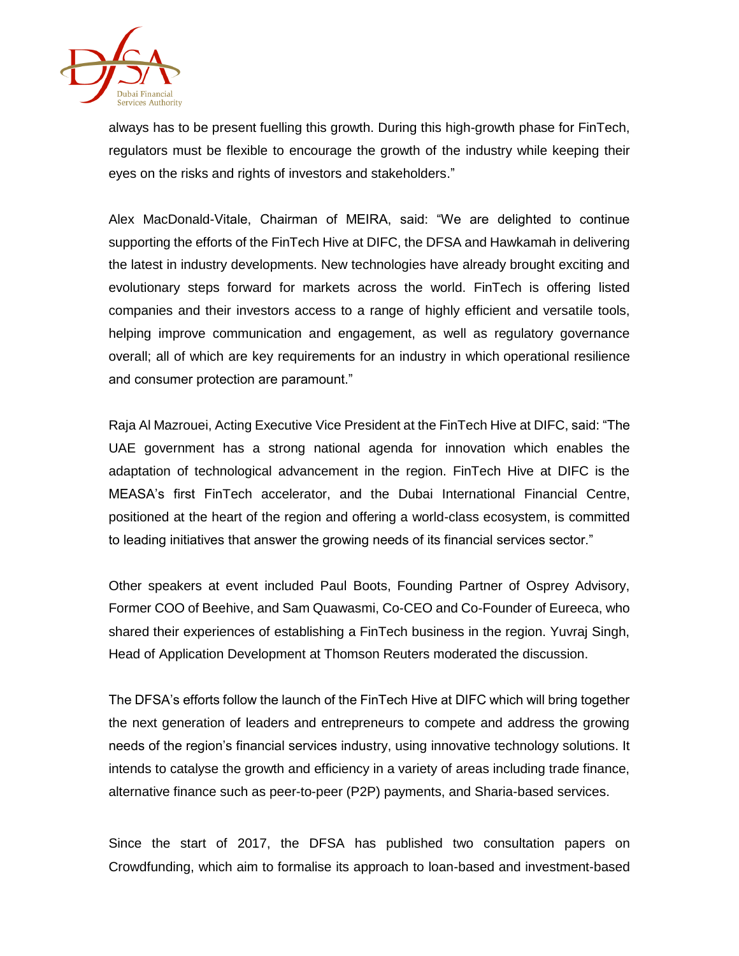

always has to be present fuelling this growth. During this high-growth phase for FinTech, regulators must be flexible to encourage the growth of the industry while keeping their eyes on the risks and rights of investors and stakeholders."

Alex MacDonald-Vitale, Chairman of MEIRA, said: "We are delighted to continue supporting the efforts of the FinTech Hive at DIFC, the DFSA and Hawkamah in delivering the latest in industry developments. New technologies have already brought exciting and evolutionary steps forward for markets across the world. FinTech is offering listed companies and their investors access to a range of highly efficient and versatile tools, helping improve communication and engagement, as well as regulatory governance overall; all of which are key requirements for an industry in which operational resilience and consumer protection are paramount."

Raja Al Mazrouei, Acting Executive Vice President at the FinTech Hive at DIFC, said: "The UAE government has a strong national agenda for innovation which enables the adaptation of technological advancement in the region. FinTech Hive at DIFC is the MEASA's first FinTech accelerator, and the Dubai International Financial Centre, positioned at the heart of the region and offering a world-class ecosystem, is committed to leading initiatives that answer the growing needs of its financial services sector."

Other speakers at event included Paul Boots, Founding Partner of Osprey Advisory, Former COO of Beehive, and Sam Quawasmi, Co-CEO and Co-Founder of Eureeca, who shared their experiences of establishing a FinTech business in the region. Yuvraj Singh, Head of Application Development at Thomson Reuters moderated the discussion.

The DFSA's efforts follow the launch of the FinTech Hive at DIFC which will bring together the next generation of leaders and entrepreneurs to compete and address the growing needs of the region's financial services industry, using innovative technology solutions. It intends to catalyse the growth and efficiency in a variety of areas including trade finance, alternative finance such as peer-to-peer (P2P) payments, and Sharia-based services.

Since the start of 2017, the DFSA has published two consultation papers on Crowdfunding, which aim to formalise its approach to loan-based and investment-based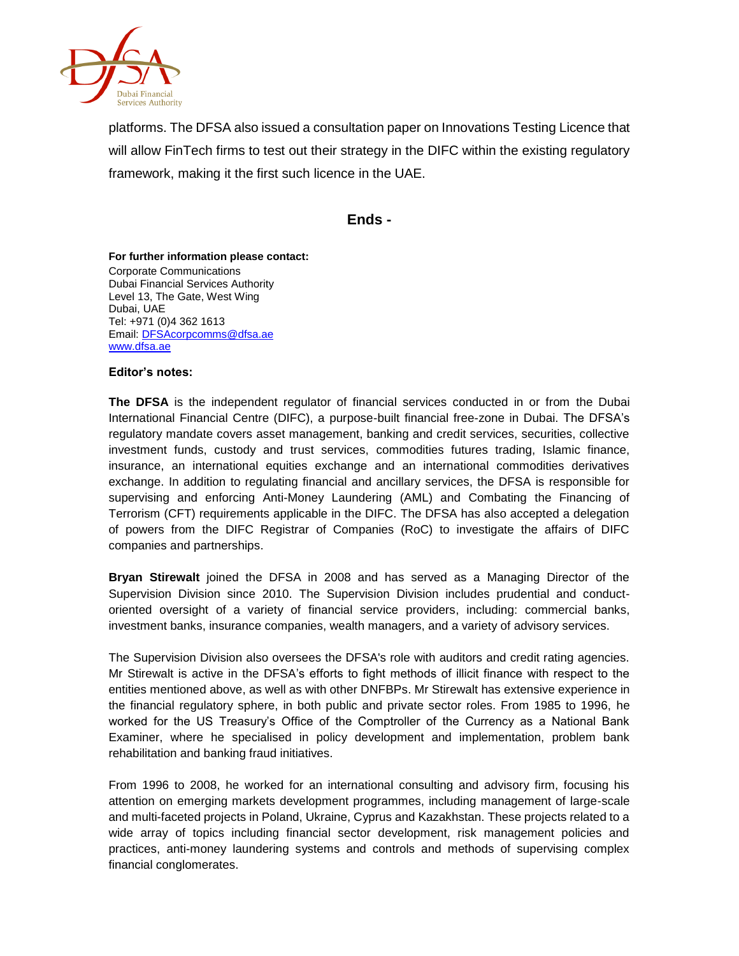

platforms. The DFSA also issued a consultation paper on Innovations Testing Licence that will allow FinTech firms to test out their strategy in the DIFC within the existing regulatory framework, making it the first such licence in the UAE.

## **Ends -**

## **For further information please contact:** Corporate Communications Dubai Financial Services Authority Level 13, The Gate, West Wing Dubai, UAE Tel: +971 (0)4 362 1613 Email[: DFSAcorpcomms@dfsa.ae](mailto:DFSAcorpcomms@dfsa.ae)

## **Editor's notes:**

[www.dfsa.ae](http://www.dfsa.ae/)

**The DFSA** is the independent regulator of financial services conducted in or from the Dubai International Financial Centre (DIFC), a purpose-built financial free-zone in Dubai. The DFSA's regulatory mandate covers asset management, banking and credit services, securities, collective investment funds, custody and trust services, commodities futures trading, Islamic finance, insurance, an international equities exchange and an international commodities derivatives exchange. In addition to regulating financial and ancillary services, the DFSA is responsible for supervising and enforcing Anti-Money Laundering (AML) and Combating the Financing of Terrorism (CFT) requirements applicable in the DIFC. The DFSA has also accepted a delegation of powers from the DIFC Registrar of Companies (RoC) to investigate the affairs of DIFC companies and partnerships.

**Bryan Stirewalt** joined the DFSA in 2008 and has served as a Managing Director of the Supervision Division since 2010. The Supervision Division includes prudential and conductoriented oversight of a variety of financial service providers, including: commercial banks, investment banks, insurance companies, wealth managers, and a variety of advisory services.

The Supervision Division also oversees the DFSA's role with auditors and credit rating agencies. Mr Stirewalt is active in the DFSA's efforts to fight methods of illicit finance with respect to the entities mentioned above, as well as with other DNFBPs. Mr Stirewalt has extensive experience in the financial regulatory sphere, in both public and private sector roles. From 1985 to 1996, he worked for the US Treasury's Office of the Comptroller of the Currency as a National Bank Examiner, where he specialised in policy development and implementation, problem bank rehabilitation and banking fraud initiatives.

From 1996 to 2008, he worked for an international consulting and advisory firm, focusing his attention on emerging markets development programmes, including management of large-scale and multi-faceted projects in Poland, Ukraine, Cyprus and Kazakhstan. These projects related to a wide array of topics including financial sector development, risk management policies and practices, anti-money laundering systems and controls and methods of supervising complex financial conglomerates.